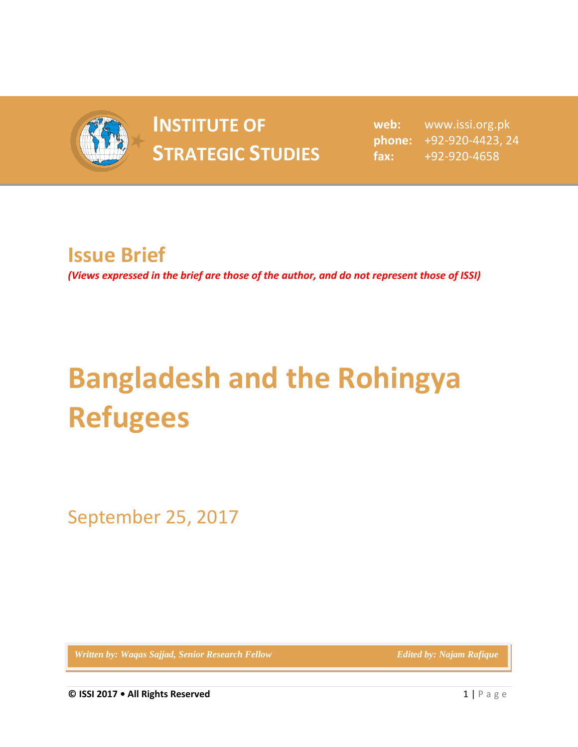

## **INSTITUTE OF INSTITUTE OF** web:<br> **STRATEGIC STUDIES**  $_{\text{fax:}}$

**web:** www.issi.org.pk **phone:** +92-920-4423, 24 **fax:** +92-920-4658

## **Issue Brief**

*(Views expressed in the brief are those of the author, and do not represent those of ISSI)*

## **Bangladesh and the Rohingya Refugees**

September 25, 2017

*Written by: Waqas Sajjad, Senior Research Fellow* **Edited by: Najam Rafique Edited by: Najam Rafique**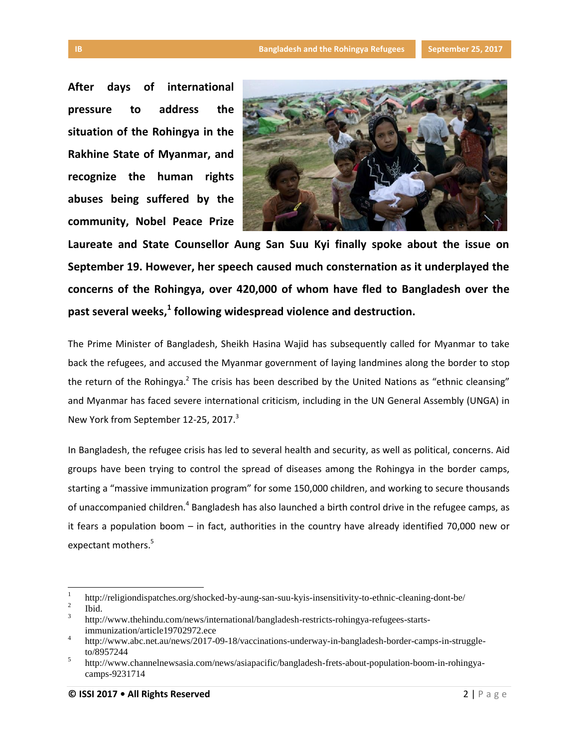**After days of international pressure to address the situation of the Rohingya in the Rakhine State of Myanmar, and recognize the human rights abuses being suffered by the community, Nobel Peace Prize** 



**Laureate and State Counsellor Aung San Suu Kyi finally spoke about the issue on September 19. However, her speech caused much consternation as it underplayed the concerns of the Rohingya, over 420,000 of whom have fled to Bangladesh over the past several weeks, 1 following widespread violence and destruction.**

The Prime Minister of Bangladesh, Sheikh Hasina Wajid has subsequently called for Myanmar to take back the refugees, and accused the Myanmar government of laying landmines along the border to stop the return of the Rohingya.<sup>2</sup> The crisis has been described by the United Nations as "ethnic cleansing" and Myanmar has faced severe international criticism, including in the UN General Assembly (UNGA) in New York from September 12-25, 2017.<sup>3</sup>

In Bangladesh, the refugee crisis has led to several health and security, as well as political, concerns. Aid groups have been trying to control the spread of diseases among the Rohingya in the border camps, starting a "massive immunization program" for some 150,000 children, and working to secure thousands of unaccompanied children.<sup>4</sup> Bangladesh has also launched a birth control drive in the refugee camps, as it fears a population boom – in fact, authorities in the country have already identified 70,000 new or expectant mothers.<sup>5</sup>

 $\overline{a}$ 

<sup>1</sup> <http://religiondispatches.org/shocked-by-aung-san-suu-kyis-insensitivity-to-ethnic-cleaning-dont-be/>

<sup>2</sup> [Ibid.](http://religiondispatches.org/shocked-by-aung-san-suu-kyis-insensitivity-to-ethnic-cleaning-dont-be/)

<sup>3</sup> [http://www.thehindu.com/news/international/bangladesh-restricts-rohingya-refugees-starts](http://www.thehindu.com/news/international/bangladesh-restricts-rohingya-refugees-starts-immunization/article19702972.ece)[immunization/article19702972.ece](http://www.thehindu.com/news/international/bangladesh-restricts-rohingya-refugees-starts-immunization/article19702972.ece)

<sup>4</sup> [http://www.abc.net.au/news/2017-09-18/vaccinations-underway-in-bangladesh-border-camps-in-struggle](http://www.abc.net.au/news/2017-09-18/vaccinations-underway-in-bangladesh-border-camps-in-struggle-to/8957244)[to/8957244](http://www.abc.net.au/news/2017-09-18/vaccinations-underway-in-bangladesh-border-camps-in-struggle-to/8957244)

<sup>5</sup> [http://www.channelnewsasia.com/news/asiapacific/bangladesh-frets-about-population-boom-in-rohingya](http://www.channelnewsasia.com/news/asiapacific/bangladesh-frets-about-population-boom-in-rohingya-camps-9231714)[camps-9231714](http://www.channelnewsasia.com/news/asiapacific/bangladesh-frets-about-population-boom-in-rohingya-camps-9231714)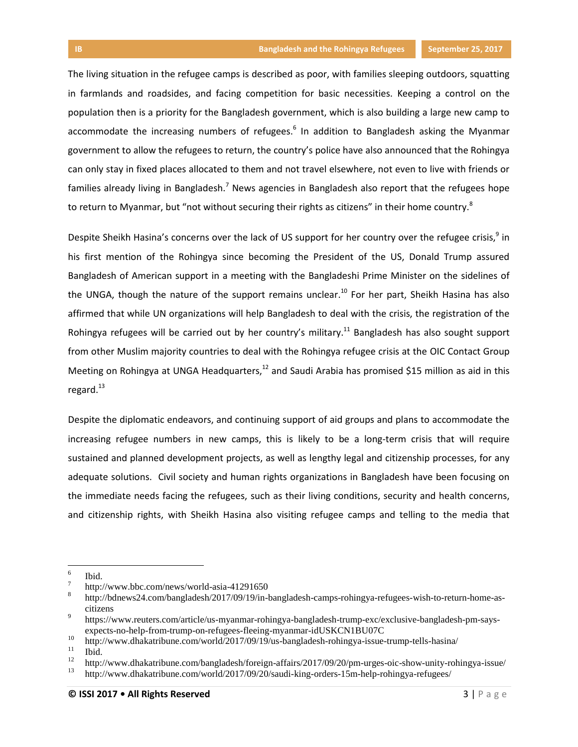The living situation in the refugee camps is described as poor, with families sleeping outdoors, squatting in farmlands and roadsides, and facing competition for basic necessities. Keeping a control on the population then is a priority for the Bangladesh government, which is also building a large new camp to accommodate the increasing numbers of refugees.<sup>6</sup> In addition to Bangladesh asking the Myanmar government to allow the refugees to return, the country's police have also announced that the Rohingya can only stay in fixed places allocated to them and not travel elsewhere, not even to live with friends or families already living in Bangladesh.<sup>7</sup> News agencies in Bangladesh also report that the refugees hope to return to Myanmar, but "not without securing their rights as citizens" in their home country.<sup>8</sup>

Despite Sheikh Hasina's concerns over the lack of US support for her country over the refugee crisis,<sup>9</sup> in his first mention of the Rohingya since becoming the President of the US, Donald Trump assured Bangladesh of American support in a meeting with the Bangladeshi Prime Minister on the sidelines of the UNGA, though the nature of the support remains unclear.<sup>10</sup> For her part, Sheikh Hasina has also affirmed that while UN organizations will help Bangladesh to deal with the crisis, the registration of the Rohingya refugees will be carried out by her country's military.<sup>11</sup> Bangladesh has also sought support from other Muslim majority countries to deal with the Rohingya refugee crisis at the OIC Contact Group Meeting on Rohingya at UNGA Headquarters, $12$  and Saudi Arabia has promised \$15 million as aid in this regard. $^{13}$ 

Despite the diplomatic endeavors, and continuing support of aid groups and plans to accommodate the increasing refugee numbers in new camps, this is likely to be a long-term crisis that will require sustained and planned development projects, as well as lengthy legal and citizenship processes, for any adequate solutions. Civil society and human rights organizations in Bangladesh have been focusing on the immediate needs facing the refugees, such as their living conditions, security and health concerns, and citizenship rights, with Sheikh Hasina also visiting refugee camps and telling to the media that

 $\overline{\phantom{a}}$ 

<sup>6</sup> [Ibid.](http://www.channelnewsasia.com/news/asiapacific/bangladesh-frets-about-population-boom-in-rohingya-camps-9231714)

<sup>7</sup> <http://www.bbc.com/news/world-asia-41291650>

<sup>8</sup> [http://bdnews24.com/bangladesh/2017/09/19/in-bangladesh-camps-rohingya-refugees-wish-to-return-home-as](http://bdnews24.com/bangladesh/2017/09/19/in-bangladesh-camps-rohingya-refugees-wish-to-return-home-as-citizens)[citizens](http://bdnews24.com/bangladesh/2017/09/19/in-bangladesh-camps-rohingya-refugees-wish-to-return-home-as-citizens)

<sup>9</sup> [https://www.reuters.com/article/us-myanmar-rohingya-bangladesh-trump-exc/exclusive-bangladesh-pm-says](https://www.reuters.com/article/us-myanmar-rohingya-bangladesh-trump-exc/exclusive-bangladesh-pm-says-expects-no-help-from-trump-on-refugees-fleeing-myanmar-idUSKCN1BU07C)[expects-no-help-from-trump-on-refugees-fleeing-myanmar-idUSKCN1BU07C](https://www.reuters.com/article/us-myanmar-rohingya-bangladesh-trump-exc/exclusive-bangladesh-pm-says-expects-no-help-from-trump-on-refugees-fleeing-myanmar-idUSKCN1BU07C)

<sup>&</sup>lt;sup>10</sup> <http://www.dhakatribune.com/world/2017/09/19/us-bangladesh-rohingya-issue-trump-tells-hasina/><br><sup>11</sup> http://www.dhakatribune.com/world/2017/09/19/us-bangladesh-rohingya-issue-trump-tells-hasina/

 $\frac{11}{12}$  [Ibid.](http://www.dhakatribune.com/world/2017/09/19/us-bangladesh-rohingya-issue-trump-tells-hasina/)

<sup>&</sup>lt;sup>12</sup> <http://www.dhakatribune.com/bangladesh/foreign-affairs/2017/09/20/pm-urges-oic-show-unity-rohingya-issue/><br><sup>13</sup> http://www.dhakatribune.com/world/2017/00/20/caudi king-orders.15m halp-rohingya-rofugoes/

<sup>13</sup> <http://www.dhakatribune.com/world/2017/09/20/saudi-king-orders-15m-help-rohingya-refugees/>